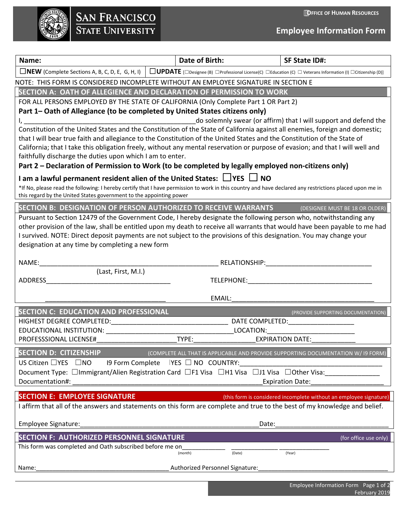**OFFICE OF HUMAN RESOURCES**

|                         | <b>SAN FRANCISCO</b> |  |
|-------------------------|----------------------|--|
| <b>STATE UNIVERSITY</b> |                      |  |

**Employee Information Form**

| Name:                                                                                                                                                                                                                          | Date of Birth:                                                                                                   | <b>SF State ID#:</b>                                               |  |  |
|--------------------------------------------------------------------------------------------------------------------------------------------------------------------------------------------------------------------------------|------------------------------------------------------------------------------------------------------------------|--------------------------------------------------------------------|--|--|
| $\Box$ NEW (Complete Sections A, B, C, D, E, G, H, I)                                                                                                                                                                          | <b>UPDATE</b> [Designee (B) DProfessional License(C) DEducation (C) D Veterans Information (I) DCitizenship (D)] |                                                                    |  |  |
| NOTE: THIS FORM IS CONSIDERED INCOMPLETE WITHOUT AN EMPLOYEE SIGNATURE IN SECTION E                                                                                                                                            |                                                                                                                  |                                                                    |  |  |
| SECTION A: OATH OF ALLEGIENCE AND DECLARATION OF PERMISSION TO WORK                                                                                                                                                            |                                                                                                                  |                                                                    |  |  |
| FOR ALL PERSONS EMPLOYED BY THE STATE OF CALIFORNIA (Only Complete Part 1 OR Part 2)                                                                                                                                           |                                                                                                                  |                                                                    |  |  |
| Part 1– Oath of Allegiance (to be completed by United States citizens only)                                                                                                                                                    |                                                                                                                  |                                                                    |  |  |
| Constitution of the United States and the Constitution of the State of California against all enemies, foreign and domestic;                                                                                                   |                                                                                                                  | do solemnly swear (or affirm) that I will support and defend the   |  |  |
| that I will bear true faith and allegiance to the Constitution of the United States and the Constitution of the State of                                                                                                       |                                                                                                                  |                                                                    |  |  |
| California; that I take this obligation freely, without any mental reservation or purpose of evasion; and that I will well and                                                                                                 |                                                                                                                  |                                                                    |  |  |
| faithfully discharge the duties upon which I am to enter.                                                                                                                                                                      |                                                                                                                  |                                                                    |  |  |
| Part 2 – Declaration of Permission to Work (to be completed by legally employed non-citizens only)                                                                                                                             |                                                                                                                  |                                                                    |  |  |
| I am a lawful permanent resident alien of the United States: $\Box$ YES $\Box$ NO                                                                                                                                              |                                                                                                                  |                                                                    |  |  |
| *If No, please read the following: I hereby certify that I have permission to work in this country and have declared any restrictions placed upon me in<br>this regard by the United States government to the appointing power |                                                                                                                  |                                                                    |  |  |
| SECTION B: DESIGNATION OF PERSON AUTHORIZED TO RECEIVE WARRANTS                                                                                                                                                                |                                                                                                                  | (DESIGNEE MUST BE 18 OR OLDER)                                     |  |  |
| Pursuant to Section 12479 of the Government Code, I hereby designate the following person who, notwithstanding any                                                                                                             |                                                                                                                  |                                                                    |  |  |
| other provision of the law, shall be entitled upon my death to receive all warrants that would have been payable to me had                                                                                                     |                                                                                                                  |                                                                    |  |  |
| I survived. NOTE: Direct deposit payments are not subject to the provisions of this designation. You may change your<br>designation at any time by completing a new form                                                       |                                                                                                                  |                                                                    |  |  |
|                                                                                                                                                                                                                                |                                                                                                                  |                                                                    |  |  |
| NAME:                                                                                                                                                                                                                          | RELATIONSHIP: NATIONAL                                                                                           |                                                                    |  |  |
| (Last, First, M.I.)                                                                                                                                                                                                            |                                                                                                                  |                                                                    |  |  |
| ADDRESS                                                                                                                                                                                                                        | TELEPHONE: TELEPHONE:                                                                                            |                                                                    |  |  |
|                                                                                                                                                                                                                                | EMAIL:                                                                                                           |                                                                    |  |  |
| SECTION C: EDUCATION AND PROFESSIONAL                                                                                                                                                                                          |                                                                                                                  | (PROVIDE SUPPORTING DOCUMENTATION)                                 |  |  |
|                                                                                                                                                                                                                                |                                                                                                                  |                                                                    |  |  |
| EDUCATIONAL INSTITUTION:                                                                                                                                                                                                       | LOCATION:                                                                                                        |                                                                    |  |  |
| PROFESSSIONAL LICENSE#                                                                                                                                                                                                         | TYPE:                                                                                                            | <b>EXPIRATION DATE:</b>                                            |  |  |
| <b>SECTION D: CITIZENSHIP</b>                                                                                                                                                                                                  | (COMPLETE ALL THAT IS APPLICABLE AND PROVIDE SUPPORTING DOCUMENTATION W/ 19 FORM)                                |                                                                    |  |  |
| US Citizen □YES □NO<br>19 Form Complete                                                                                                                                                                                        | $YES \square NO$ COUNTRY:                                                                                        |                                                                    |  |  |
| Document Type: □Immigrant/Alien Registration Card □F1 Visa □H1 Visa □J1 Visa □Other Visa:<br>Documentation#:                                                                                                                   |                                                                                                                  | <b>Expiration Date:</b>                                            |  |  |
|                                                                                                                                                                                                                                |                                                                                                                  |                                                                    |  |  |
| <b>SECTION E: EMPLOYEE SIGNATURE</b>                                                                                                                                                                                           |                                                                                                                  | (this form is considered incomplete without an employee signature) |  |  |
| I affirm that all of the answers and statements on this form are complete and true to the best of my knowledge and belief.                                                                                                     |                                                                                                                  |                                                                    |  |  |
| Employee Signature:                                                                                                                                                                                                            | Date:                                                                                                            |                                                                    |  |  |
| <b>SECTION F: AUTHORIZED PERSONNEL SIGNATURE</b>                                                                                                                                                                               |                                                                                                                  | (for office use only)                                              |  |  |
| This form was completed and Oath subscribed before me on                                                                                                                                                                       |                                                                                                                  |                                                                    |  |  |
|                                                                                                                                                                                                                                | (month)<br>(Date)                                                                                                | (Year)                                                             |  |  |
| Name:                                                                                                                                                                                                                          | Authorized Personnel Signature:                                                                                  |                                                                    |  |  |
|                                                                                                                                                                                                                                |                                                                                                                  |                                                                    |  |  |